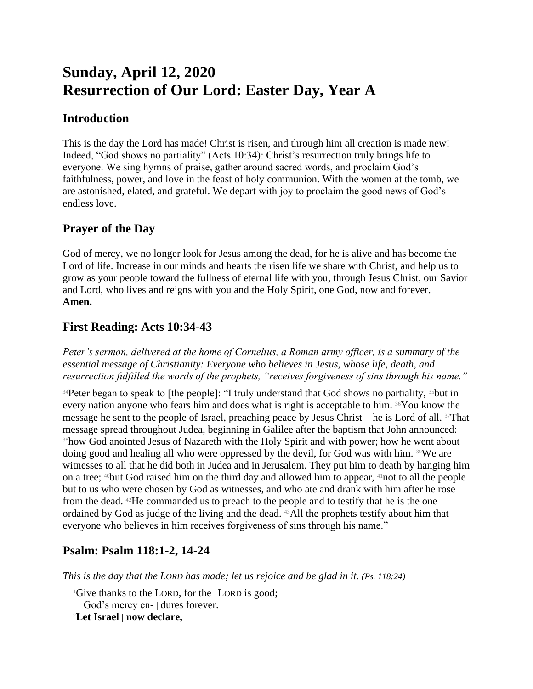# **Sunday, April 12, 2020 Resurrection of Our Lord: Easter Day, Year A**

#### **Introduction**

This is the day the Lord has made! Christ is risen, and through him all creation is made new! Indeed, "God shows no partiality" (Acts 10:34): Christ's resurrection truly brings life to everyone. We sing hymns of praise, gather around sacred words, and proclaim God's faithfulness, power, and love in the feast of holy communion. With the women at the tomb, we are astonished, elated, and grateful. We depart with joy to proclaim the good news of God's endless love.

#### **Prayer of the Day**

God of mercy, we no longer look for Jesus among the dead, for he is alive and has become the Lord of life. Increase in our minds and hearts the risen life we share with Christ, and help us to grow as your people toward the fullness of eternal life with you, through Jesus Christ, our Savior and Lord, who lives and reigns with you and the Holy Spirit, one God, now and forever. **Amen.**

## **First Reading: Acts 10:34-43**

*Peter's sermon, delivered at the home of Cornelius, a Roman army officer, is a summary of the essential message of Christianity: Everyone who believes in Jesus, whose life, death, and resurrection fulfilled the words of the prophets, "receives forgiveness of sins through his name."*

<sup>34</sup>Peter began to speak to [the people]: "I truly understand that God shows no partiality, <sup>35</sup>but in every nation anyone who fears him and does what is right is acceptable to him. 36You know the message he sent to the people of Israel, preaching peace by Jesus Christ—he is Lord of all. 37That message spread throughout Judea, beginning in Galilee after the baptism that John announced: <sup>38</sup>how God anointed Jesus of Nazareth with the Holy Spirit and with power; how he went about doing good and healing all who were oppressed by the devil, for God was with him. 39We are witnesses to all that he did both in Judea and in Jerusalem. They put him to death by hanging him on a tree;  $40$ but God raised him on the third day and allowed him to appear,  $41$ not to all the people but to us who were chosen by God as witnesses, and who ate and drank with him after he rose from the dead. 42He commanded us to preach to the people and to testify that he is the one ordained by God as judge of the living and the dead. 43All the prophets testify about him that everyone who believes in him receives forgiveness of sins through his name."

## **Psalm: Psalm 118:1-2, 14-24**

*This is the day that the LORD has made; let us rejoice and be glad in it. (Ps. 118:24)*

<sup>1</sup>Give thanks to the LORD, for the | LORD is good; God's mercy en- | dures forever. <sup>2</sup>**Let Israel | now declare,**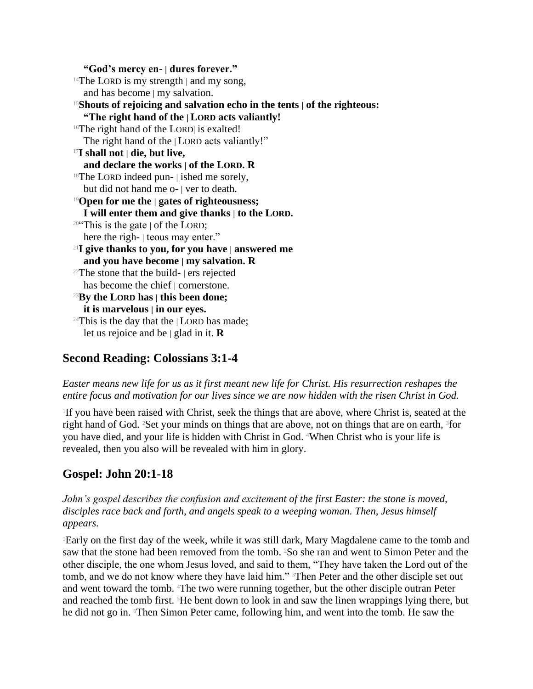**"God's mercy en- | dures forever."**  $14$ The LORD is my strength | and my song, and has become | my salvation. <sup>15</sup>**Shouts of rejoicing and salvation echo in the tents | of the righteous: "The right hand of the | LORD acts valiantly!** 16The right hand of the LORD| is exalted! The right hand of the | LORD acts valiantly!" <sup>17</sup>**I shall not | die, but live, and declare the works | of the LORD. R**  $18$ The LORD indeed pun- | ished me sorely, but did not hand me o- | ver to death. <sup>19</sup>**Open for me the | gates of righteousness; I will enter them and give thanks | to the LORD.** <sup>20"</sup>This is the gate  $\vert$  of the LORD; here the righ- | teous may enter." <sup>21</sup>**I give thanks to you, for you have | answered me and you have become | my salvation. R**  $22$ The stone that the build-  $\vert$  ers rejected has become the chief | cornerstone. <sup>23</sup>**By the LORD has | this been done; it is marvelous | in our eyes.** <sup>24</sup>This is the day that the  $|$  LORD has made; let us rejoice and be | glad in it. **R**

#### **Second Reading: Colossians 3:1-4**

*Easter means new life for us as it first meant new life for Christ. His resurrection reshapes the entire focus and motivation for our lives since we are now hidden with the risen Christ in God.*

1 If you have been raised with Christ, seek the things that are above, where Christ is, seated at the right hand of God. <sup>2</sup>Set your minds on things that are above, not on things that are on earth, <sup>3</sup>for you have died, and your life is hidden with Christ in God. 4When Christ who is your life is revealed, then you also will be revealed with him in glory.

## **Gospel: John 20:1-18**

*John's gospel describes the confusion and excitement of the first Easter: the stone is moved, disciples race back and forth, and angels speak to a weeping woman. Then, Jesus himself appears.*

<sup>1</sup>Early on the first day of the week, while it was still dark, Mary Magdalene came to the tomb and saw that the stone had been removed from the tomb. <sup>2</sup>So she ran and went to Simon Peter and the other disciple, the one whom Jesus loved, and said to them, "They have taken the Lord out of the tomb, and we do not know where they have laid him." Then Peter and the other disciple set out and went toward the tomb. 4The two were running together, but the other disciple outran Peter and reached the tomb first. 5He bent down to look in and saw the linen wrappings lying there, but he did not go in. Then Simon Peter came, following him, and went into the tomb. He saw the